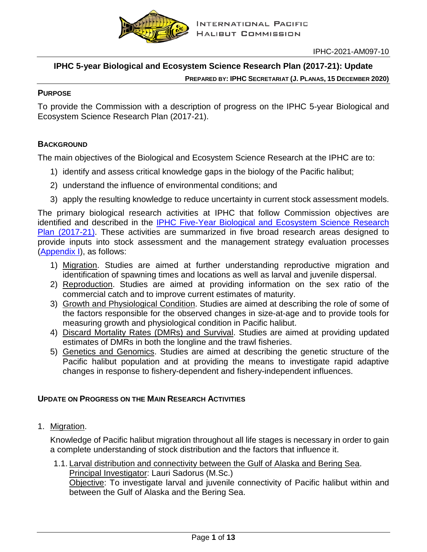

# **IPHC 5-year Biological and Ecosystem Science Research Plan (2017-21): Update**

#### **PURPOSE**

To provide the Commission with a description of progress on the IPHC 5-year Biological and Ecosystem Science Research Plan (2017-21).

## **BACKGROUND**

The main objectives of the Biological and Ecosystem Science Research at the IPHC are to:

- 1) identify and assess critical knowledge gaps in the biology of the Pacific halibut;
- 2) understand the influence of environmental conditions; and
- 3) apply the resulting knowledge to reduce uncertainty in current stock assessment models.

The primary biological research activities at IPHC that follow Commission objectives are identified and described in the IPHC Five-Year [Biological and Ecosystem Science](https://www.iphc.int/uploads/pdf/besrp/2019/iphc-2019-besrp-5yp.pdf) Research [Plan \(2017-21\).](https://www.iphc.int/uploads/pdf/besrp/2019/iphc-2019-besrp-5yp.pdf) These activities are summarized in five broad research areas designed to provide inputs into stock assessment and the management strategy evaluation processes [\(Appendix I\)](#page-11-0), as follows:

- 1) Migration. Studies are aimed at further understanding reproductive migration and identification of spawning times and locations as well as larval and juvenile dispersal.
- 2) Reproduction. Studies are aimed at providing information on the sex ratio of the commercial catch and to improve current estimates of maturity.
- 3) Growth and Physiological Condition. Studies are aimed at describing the role of some of the factors responsible for the observed changes in size-at-age and to provide tools for measuring growth and physiological condition in Pacific halibut.
- 4) Discard Mortality Rates (DMRs) and Survival. Studies are aimed at providing updated estimates of DMRs in both the longline and the trawl fisheries.
- 5) Genetics and Genomics. Studies are aimed at describing the genetic structure of the Pacific halibut population and at providing the means to investigate rapid adaptive changes in response to fishery-dependent and fishery-independent influences.

## **UPDATE ON PROGRESS ON THE MAIN RESEARCH ACTIVITIES**

1. Migration.

Knowledge of Pacific halibut migration throughout all life stages is necessary in order to gain a complete understanding of stock distribution and the factors that influence it.

1.1. Larval distribution and connectivity between the Gulf of Alaska and Bering Sea. Principal Investigator: Lauri Sadorus (M.Sc.) Objective: To investigate larval and juvenile connectivity of Pacific halibut within and between the Gulf of Alaska and the Bering Sea.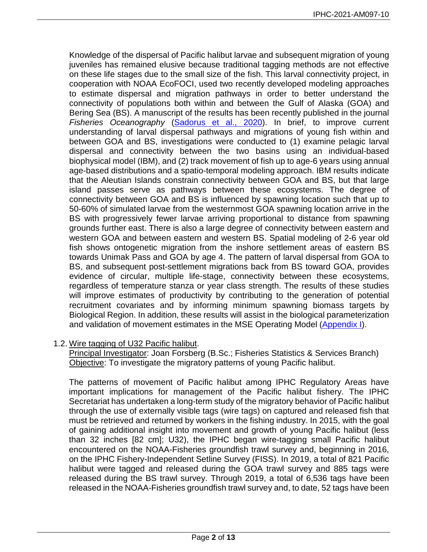Knowledge of the dispersal of Pacific halibut larvae and subsequent migration of young juveniles has remained elusive because traditional tagging methods are not effective on these life stages due to the small size of the fish. This larval connectivity project, in cooperation with NOAA EcoFOCI, used two recently developed modeling approaches to estimate dispersal and migration pathways in order to better understand the connectivity of populations both within and between the Gulf of Alaska (GOA) and Bering Sea (BS). A manuscript of the results has been recently published in the journal *Fisheries Oceanography* [\(Sadorus et al., 2020\)](https://onlinelibrary.wiley.com/doi/abs/10.1111/fog.12512). In brief, to improve current understanding of larval dispersal pathways and migrations of young fish within and between GOA and BS, investigations were conducted to (1) examine pelagic larval dispersal and connectivity between the two basins using an individual-based biophysical model (IBM), and (2) track movement of fish up to age-6 years using annual age-based distributions and a spatio-temporal modeling approach. IBM results indicate that the Aleutian Islands constrain connectivity between GOA and BS, but that large island passes serve as pathways between these ecosystems. The degree of connectivity between GOA and BS is influenced by spawning location such that up to 50-60% of simulated larvae from the westernmost GOA spawning location arrive in the BS with progressively fewer larvae arriving proportional to distance from spawning grounds further east. There is also a large degree of connectivity between eastern and western GOA and between eastern and western BS. Spatial modeling of 2-6 year old fish shows ontogenetic migration from the inshore settlement areas of eastern BS towards Unimak Pass and GOA by age 4. The pattern of larval dispersal from GOA to BS, and subsequent post-settlement migrations back from BS toward GOA, provides evidence of circular, multiple life-stage, connectivity between these ecosystems, regardless of temperature stanza or year class strength. The results of these studies will improve estimates of productivity by contributing to the generation of potential recruitment covariates and by informing minimum spawning biomass targets by Biological Region. In addition, these results will assist in the biological parameterization and validation of movement estimates in the MSE Operating Model [\(Appendix I\)](#page-11-0).

## 1.2. Wire tagging of U32 Pacific halibut.

Principal Investigator: Joan Forsberg (B.Sc.; Fisheries Statistics & Services Branch) Objective: To investigate the migratory patterns of young Pacific halibut.

The patterns of movement of Pacific halibut among IPHC Regulatory Areas have important implications for management of the Pacific halibut fishery. The IPHC Secretariat has undertaken a long-term study of the migratory behavior of Pacific halibut through the use of externally visible tags (wire tags) on captured and released fish that must be retrieved and returned by workers in the fishing industry. In 2015, with the goal of gaining additional insight into movement and growth of young Pacific halibut (less than 32 inches [82 cm]; U32), the IPHC began wire-tagging small Pacific halibut encountered on the NOAA-Fisheries groundfish trawl survey and, beginning in 2016, on the IPHC Fishery-Independent Setline Survey (FISS). In 2019, a total of 821 Pacific halibut were tagged and released during the GOA trawl survey and 885 tags were released during the BS trawl survey. Through 2019, a total of 6,536 tags have been released in the NOAA-Fisheries groundfish trawl survey and, to date, 52 tags have been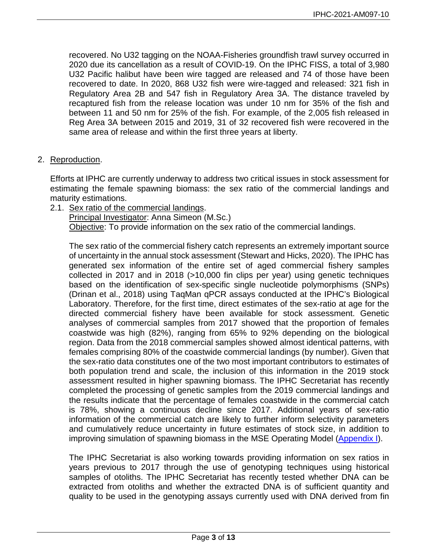recovered. No U32 tagging on the NOAA-Fisheries groundfish trawl survey occurred in 2020 due its cancellation as a result of COVID-19. On the IPHC FISS, a total of 3,980 U32 Pacific halibut have been wire tagged are released and 74 of those have been recovered to date. In 2020, 868 U32 fish were wire-tagged and released: 321 fish in Regulatory Area 2B and 547 fish in Regulatory Area 3A. The distance traveled by recaptured fish from the release location was under 10 nm for 35% of the fish and between 11 and 50 nm for 25% of the fish. For example, of the 2,005 fish released in Reg Area 3A between 2015 and 2019, 31 of 32 recovered fish were recovered in the same area of release and within the first three years at liberty.

2. Reproduction.

Efforts at IPHC are currently underway to address two critical issues in stock assessment for estimating the female spawning biomass: the sex ratio of the commercial landings and maturity estimations.

2.1. Sex ratio of the commercial landings.

Principal Investigator: Anna Simeon (M.Sc.)

Objective: To provide information on the sex ratio of the commercial landings.

The sex ratio of the commercial fishery catch represents an extremely important source of uncertainty in the annual stock assessment (Stewart and Hicks, 2020). The IPHC has generated sex information of the entire set of aged commercial fishery samples collected in 2017 and in 2018 (>10,000 fin clips per year) using genetic techniques based on the identification of sex-specific single nucleotide polymorphisms (SNPs) (Drinan et al., 2018) using TaqMan qPCR assays conducted at the IPHC's Biological Laboratory. Therefore, for the first time, direct estimates of the sex-ratio at age for the directed commercial fishery have been available for stock assessment. Genetic analyses of commercial samples from 2017 showed that the proportion of females coastwide was high (82%), ranging from 65% to 92% depending on the biological region. Data from the 2018 commercial samples showed almost identical patterns, with females comprising 80% of the coastwide commercial landings (by number). Given that the sex-ratio data constitutes one of the two most important contributors to estimates of both population trend and scale, the inclusion of this information in the 2019 stock assessment resulted in higher spawning biomass. The IPHC Secretariat has recently completed the processing of genetic samples from the 2019 commercial landings and the results indicate that the percentage of females coastwide in the commercial catch is 78%, showing a continuous decline since 2017. Additional years of sex-ratio information of the commercial catch are likely to further inform selectivity parameters and cumulatively reduce uncertainty in future estimates of stock size, in addition to improving simulation of spawning biomass in the MSE Operating Model [\(Appendix I\)](#page-11-0).

The IPHC Secretariat is also working towards providing information on sex ratios in years previous to 2017 through the use of genotyping techniques using historical samples of otoliths. The IPHC Secretariat has recently tested whether DNA can be extracted from otoliths and whether the extracted DNA is of sufficient quantity and quality to be used in the genotyping assays currently used with DNA derived from fin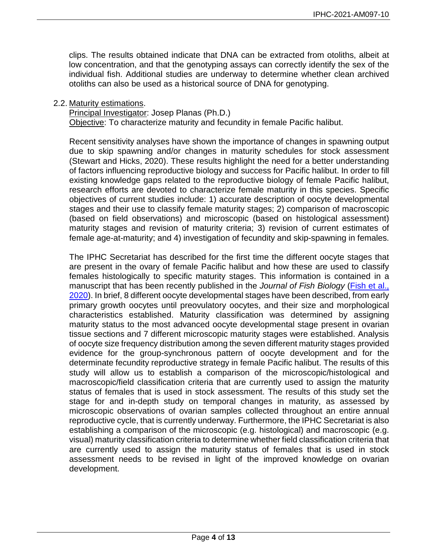clips. The results obtained indicate that DNA can be extracted from otoliths, albeit at low concentration, and that the genotyping assays can correctly identify the sex of the individual fish. Additional studies are underway to determine whether clean archived otoliths can also be used as a historical source of DNA for genotyping.

#### 2.2. Maturity estimations.

Principal Investigator: Josep Planas (Ph.D.)

Objective: To characterize maturity and fecundity in female Pacific halibut.

Recent sensitivity analyses have shown the importance of changes in spawning output due to skip spawning and/or changes in maturity schedules for stock assessment (Stewart and Hicks, 2020). These results highlight the need for a better understanding of factors influencing reproductive biology and success for Pacific halibut. In order to fill existing knowledge gaps related to the reproductive biology of female Pacific halibut, research efforts are devoted to characterize female maturity in this species. Specific objectives of current studies include: 1) accurate description of oocyte developmental stages and their use to classify female maturity stages; 2) comparison of macroscopic (based on field observations) and microscopic (based on histological assessment) maturity stages and revision of maturity criteria; 3) revision of current estimates of female age-at-maturity; and 4) investigation of fecundity and skip-spawning in females.

The IPHC Secretariat has described for the first time the different oocyte stages that are present in the ovary of female Pacific halibut and how these are used to classify females histologically to specific maturity stages. This information is contained in a manuscript that has been recently published in the *Journal of Fish Biology* [\(Fish et al.,](http://dx.doi.org/10.1111/jfb.14551)  [2020\)](http://dx.doi.org/10.1111/jfb.14551). In brief, 8 different oocyte developmental stages have been described, from early primary growth oocytes until preovulatory oocytes, and their size and morphological characteristics established. Maturity classification was determined by assigning maturity status to the most advanced oocyte developmental stage present in ovarian tissue sections and 7 different microscopic maturity stages were established. Analysis of oocyte size frequency distribution among the seven different maturity stages provided evidence for the group-synchronous pattern of oocyte development and for the determinate fecundity reproductive strategy in female Pacific halibut. The results of this study will allow us to establish a comparison of the microscopic/histological and macroscopic/field classification criteria that are currently used to assign the maturity status of females that is used in stock assessment. The results of this study set the stage for and in-depth study on temporal changes in maturity, as assessed by microscopic observations of ovarian samples collected throughout an entire annual reproductive cycle, that is currently underway. Furthermore, the IPHC Secretariat is also establishing a comparison of the microscopic (e.g. histological) and macroscopic (e.g. visual) maturity classification criteria to determine whether field classification criteria that are currently used to assign the maturity status of females that is used in stock assessment needs to be revised in light of the improved knowledge on ovarian development.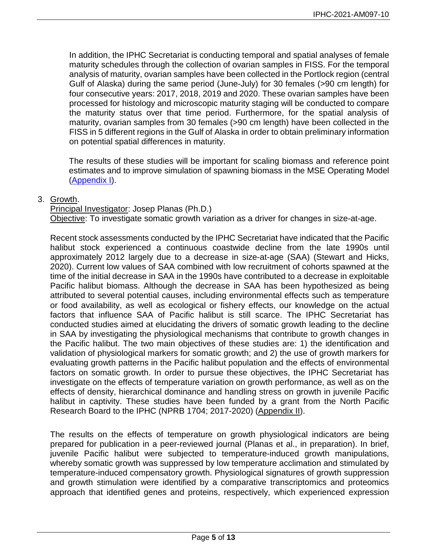In addition, the IPHC Secretariat is conducting temporal and spatial analyses of female maturity schedules through the collection of ovarian samples in FISS. For the temporal analysis of maturity, ovarian samples have been collected in the Portlock region (central Gulf of Alaska) during the same period (June-July) for 30 females (>90 cm length) for four consecutive years: 2017, 2018, 2019 and 2020. These ovarian samples have been processed for histology and microscopic maturity staging will be conducted to compare the maturity status over that time period. Furthermore, for the spatial analysis of maturity, ovarian samples from 30 females (>90 cm length) have been collected in the FISS in 5 different regions in the Gulf of Alaska in order to obtain preliminary information on potential spatial differences in maturity.

The results of these studies will be important for scaling biomass and reference point estimates and to improve simulation of spawning biomass in the MSE Operating Model [\(Appendix I\)](#page-11-0).

## 3. Growth.

Principal Investigator: Josep Planas (Ph.D.) Objective: To investigate somatic growth variation as a driver for changes in size-at-age.

Recent stock assessments conducted by the IPHC Secretariat have indicated that the Pacific halibut stock experienced a continuous coastwide decline from the late 1990s until approximately 2012 largely due to a decrease in size-at-age (SAA) (Stewart and Hicks, 2020). Current low values of SAA combined with low recruitment of cohorts spawned at the time of the initial decrease in SAA in the 1990s have contributed to a decrease in exploitable Pacific halibut biomass. Although the decrease in SAA has been hypothesized as being attributed to several potential causes, including environmental effects such as temperature or food availability, as well as ecological or fishery effects, our knowledge on the actual factors that influence SAA of Pacific halibut is still scarce. The IPHC Secretariat has conducted studies aimed at elucidating the drivers of somatic growth leading to the decline in SAA by investigating the physiological mechanisms that contribute to growth changes in the Pacific halibut. The two main objectives of these studies are: 1) the identification and validation of physiological markers for somatic growth; and 2) the use of growth markers for evaluating growth patterns in the Pacific halibut population and the effects of environmental factors on somatic growth. In order to pursue these objectives, the IPHC Secretariat has investigate on the effects of temperature variation on growth performance, as well as on the effects of density, hierarchical dominance and handling stress on growth in juvenile Pacific halibut in captivity. These studies have been funded by a grant from the North Pacific Research Board to the IPHC (NPRB 1704; 2017-2020) [\(Appendix II\)](#page-9-0).

The results on the effects of temperature on growth physiological indicators are being prepared for publication in a peer-reviewed journal (Planas et al., in preparation). In brief, juvenile Pacific halibut were subjected to temperature-induced growth manipulations, whereby somatic growth was suppressed by low temperature acclimation and stimulated by temperature-induced compensatory growth. Physiological signatures of growth suppression and growth stimulation were identified by a comparative transcriptomics and proteomics approach that identified genes and proteins, respectively, which experienced expression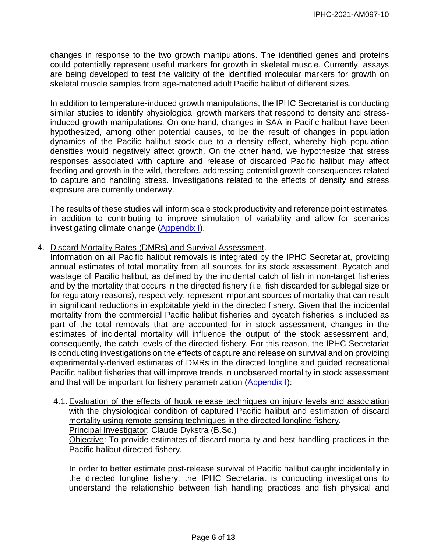changes in response to the two growth manipulations. The identified genes and proteins could potentially represent useful markers for growth in skeletal muscle. Currently, assays are being developed to test the validity of the identified molecular markers for growth on skeletal muscle samples from age-matched adult Pacific halibut of different sizes.

In addition to temperature-induced growth manipulations, the IPHC Secretariat is conducting similar studies to identify physiological growth markers that respond to density and stressinduced growth manipulations. On one hand, changes in SAA in Pacific halibut have been hypothesized, among other potential causes, to be the result of changes in population dynamics of the Pacific halibut stock due to a density effect, whereby high population densities would negatively affect growth. On the other hand, we hypothesize that stress responses associated with capture and release of discarded Pacific halibut may affect feeding and growth in the wild, therefore, addressing potential growth consequences related to capture and handling stress. Investigations related to the effects of density and stress exposure are currently underway.

The results of these studies will inform scale stock productivity and reference point estimates, in addition to contributing to improve simulation of variability and allow for scenarios investigating climate change [\(Appendix I\)](#page-11-0).

4. Discard Mortality Rates (DMRs) and Survival Assessment.

Information on all Pacific halibut removals is integrated by the IPHC Secretariat, providing annual estimates of total mortality from all sources for its stock assessment. Bycatch and wastage of Pacific halibut, as defined by the incidental catch of fish in non-target fisheries and by the mortality that occurs in the directed fishery (i.e. fish discarded for sublegal size or for regulatory reasons), respectively, represent important sources of mortality that can result in significant reductions in exploitable yield in the directed fishery. Given that the incidental mortality from the commercial Pacific halibut fisheries and bycatch fisheries is included as part of the total removals that are accounted for in stock assessment, changes in the estimates of incidental mortality will influence the output of the stock assessment and, consequently, the catch levels of the directed fishery. For this reason, the IPHC Secretariat is conducting investigations on the effects of capture and release on survival and on providing experimentally-derived estimates of DMRs in the directed longline and guided recreational Pacific halibut fisheries that will improve trends in unobserved mortality in stock assessment and that will be important for fishery parametrization [\(Appendix I\)](#page-11-0):

4.1. Evaluation of the effects of hook release techniques on injury levels and association with the physiological condition of captured Pacific halibut and estimation of discard mortality using remote-sensing techniques in the directed longline fishery. Principal Investigator: Claude Dykstra (B.Sc.)

Objective: To provide estimates of discard mortality and best-handling practices in the Pacific halibut directed fishery.

In order to better estimate post-release survival of Pacific halibut caught incidentally in the directed longline fishery, the IPHC Secretariat is conducting investigations to understand the relationship between fish handling practices and fish physical and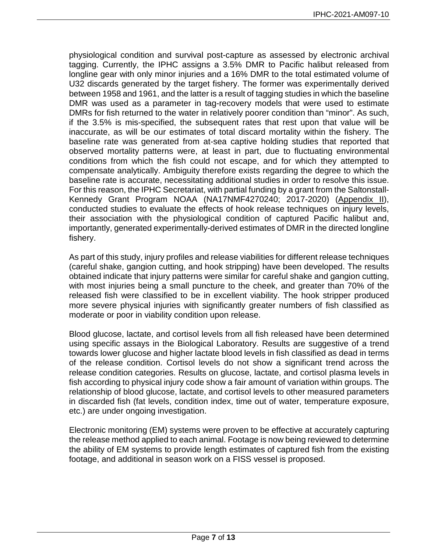physiological condition and survival post-capture as assessed by electronic archival tagging. Currently, the IPHC assigns a 3.5% DMR to Pacific halibut released from longline gear with only minor injuries and a 16% DMR to the total estimated volume of U32 discards generated by the target fishery. The former was experimentally derived between 1958 and 1961, and the latter is a result of tagging studies in which the baseline DMR was used as a parameter in tag-recovery models that were used to estimate DMRs for fish returned to the water in relatively poorer condition than "minor". As such, if the 3.5% is mis-specified, the subsequent rates that rest upon that value will be inaccurate, as will be our estimates of total discard mortality within the fishery. The baseline rate was generated from at-sea captive holding studies that reported that observed mortality patterns were, at least in part, due to fluctuating environmental conditions from which the fish could not escape, and for which they attempted to compensate analytically. Ambiguity therefore exists regarding the degree to which the baseline rate is accurate, necessitating additional studies in order to resolve this issue. For this reason, the IPHC Secretariat, with partial funding by a grant from the Saltonstall-Kennedy Grant Program NOAA (NA17NMF4270240; 2017-2020) [\(Appendix II\)](#page-9-0), conducted studies to evaluate the effects of hook release techniques on injury levels, their association with the physiological condition of captured Pacific halibut and, importantly, generated experimentally-derived estimates of DMR in the directed longline fishery.

As part of this study, injury profiles and release viabilities for different release techniques (careful shake, gangion cutting, and hook stripping) have been developed. The results obtained indicate that injury patterns were similar for careful shake and gangion cutting, with most injuries being a small puncture to the cheek, and greater than 70% of the released fish were classified to be in excellent viability. The hook stripper produced more severe physical injuries with significantly greater numbers of fish classified as moderate or poor in viability condition upon release.

Blood glucose, lactate, and cortisol levels from all fish released have been determined using specific assays in the Biological Laboratory. Results are suggestive of a trend towards lower glucose and higher lactate blood levels in fish classified as dead in terms of the release condition. Cortisol levels do not show a significant trend across the release condition categories. Results on glucose, lactate, and cortisol plasma levels in fish according to physical injury code show a fair amount of variation within groups. The relationship of blood glucose, lactate, and cortisol levels to other measured parameters in discarded fish (fat levels, condition index, time out of water, temperature exposure, etc.) are under ongoing investigation.

Electronic monitoring (EM) systems were proven to be effective at accurately capturing the release method applied to each animal. Footage is now being reviewed to determine the ability of EM systems to provide length estimates of captured fish from the existing footage, and additional in season work on a FISS vessel is proposed.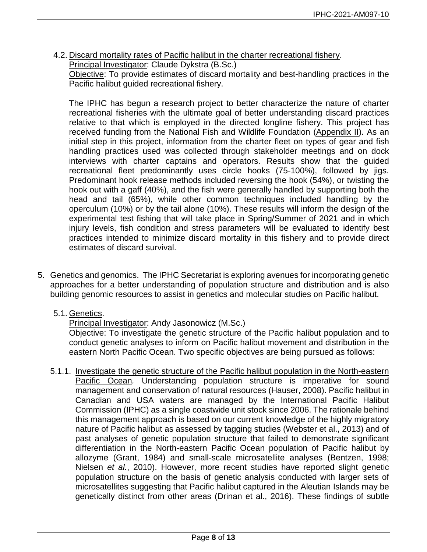4.2. Discard mortality rates of Pacific halibut in the charter recreational fishery. Principal Investigator: Claude Dykstra (B.Sc.)

Objective: To provide estimates of discard mortality and best-handling practices in the Pacific halibut guided recreational fishery.

The IPHC has begun a research project to better characterize the nature of charter recreational fisheries with the ultimate goal of better understanding discard practices relative to that which is employed in the directed longline fishery. This project has received funding from the National Fish and Wildlife Foundation [\(Appendix II\)](#page-9-0). As an initial step in this project, information from the charter fleet on types of gear and fish handling practices used was collected through stakeholder meetings and on dock interviews with charter captains and operators. Results show that the guided recreational fleet predominantly uses circle hooks (75-100%), followed by jigs. Predominant hook release methods included reversing the hook (54%), or twisting the hook out with a gaff (40%), and the fish were generally handled by supporting both the head and tail (65%), while other common techniques included handling by the operculum (10%) or by the tail alone (10%). These results will inform the design of the experimental test fishing that will take place in Spring/Summer of 2021 and in which injury levels, fish condition and stress parameters will be evaluated to identify best practices intended to minimize discard mortality in this fishery and to provide direct estimates of discard survival.

- 5. Genetics and genomics. The IPHC Secretariat is exploring avenues for incorporating genetic approaches for a better understanding of population structure and distribution and is also building genomic resources to assist in genetics and molecular studies on Pacific halibut.
	- 5.1. Genetics.

# Principal Investigator: Andy Jasonowicz (M.Sc.)

Objective: To investigate the genetic structure of the Pacific halibut population and to conduct genetic analyses to inform on Pacific halibut movement and distribution in the eastern North Pacific Ocean. Two specific objectives are being pursued as follows:

5.1.1. Investigate the genetic structure of the Pacific halibut population in the North-eastern Pacific Ocean*.* Understanding population structure is imperative for sound management and conservation of natural resources (Hauser, 2008). Pacific halibut in Canadian and USA waters are managed by the International Pacific Halibut Commission (IPHC) as a single coastwide unit stock since 2006. The rationale behind this management approach is based on our current knowledge of the highly migratory nature of Pacific halibut as assessed by tagging studies (Webster et al., 2013) and of past analyses of genetic population structure that failed to demonstrate significant differentiation in the North-eastern Pacific Ocean population of Pacific halibut by allozyme (Grant, 1984) and small-scale microsatellite analyses (Bentzen, 1998; Nielsen *et al.*, 2010). However, more recent studies have reported slight genetic population structure on the basis of genetic analysis conducted with larger sets of microsatellites suggesting that Pacific halibut captured in the Aleutian Islands may be genetically distinct from other areas (Drinan et al., 2016). These findings of subtle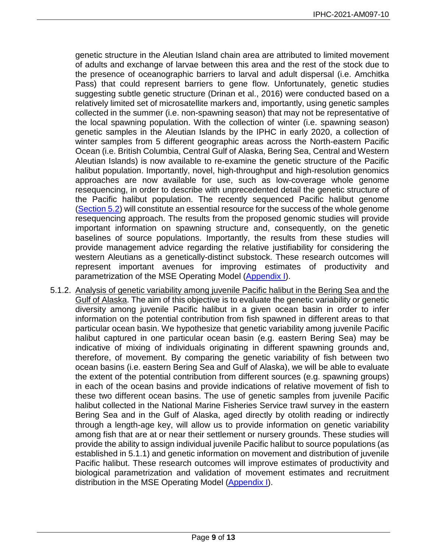genetic structure in the Aleutian Island chain area are attributed to limited movement of adults and exchange of larvae between this area and the rest of the stock due to the presence of oceanographic barriers to larval and adult dispersal (i.e. Amchitka Pass) that could represent barriers to gene flow. Unfortunately, genetic studies suggesting subtle genetic structure (Drinan et al., 2016) were conducted based on a relatively limited set of microsatellite markers and, importantly, using genetic samples collected in the summer (i.e. non-spawning season) that may not be representative of the local spawning population. With the collection of winter (i.e. spawning season) genetic samples in the Aleutian Islands by the IPHC in early 2020, a collection of winter samples from 5 different geographic areas across the North-eastern Pacific Ocean (i.e. British Columbia, Central Gulf of Alaska, Bering Sea, Central and Western Aleutian Islands) is now available to re-examine the genetic structure of the Pacific halibut population. Importantly, novel, high-throughput and high-resolution genomics approaches are now available for use, such as low-coverage whole genome resequencing, in order to describe with unprecedented detail the genetic structure of the Pacific halibut population. The recently sequenced Pacific halibut genome [\(Section 5.2\)](#page-9-0) will constitute an essential resource for the success of the whole genome resequencing approach. The results from the proposed genomic studies will provide important information on spawning structure and, consequently, on the genetic baselines of source populations. Importantly, the results from these studies will provide management advice regarding the relative justifiability for considering the western Aleutians as a genetically-distinct substock. These research outcomes will represent important avenues for improving estimates of productivity and parametrization of the MSE Operating Model [\(Appendix I\)](#page-11-0).

5.1.2. Analysis of genetic variability among juvenile Pacific halibut in the Bering Sea and the Gulf of Alaska. The aim of this objective is to evaluate the genetic variability or genetic diversity among juvenile Pacific halibut in a given ocean basin in order to infer information on the potential contribution from fish spawned in different areas to that particular ocean basin. We hypothesize that genetic variability among juvenile Pacific halibut captured in one particular ocean basin (e.g. eastern Bering Sea) may be indicative of mixing of individuals originating in different spawning grounds and, therefore, of movement. By comparing the genetic variability of fish between two ocean basins (i.e. eastern Bering Sea and Gulf of Alaska), we will be able to evaluate the extent of the potential contribution from different sources (e.g. spawning groups) in each of the ocean basins and provide indications of relative movement of fish to these two different ocean basins. The use of genetic samples from juvenile Pacific halibut collected in the National Marine Fisheries Service trawl survey in the eastern Bering Sea and in the Gulf of Alaska, aged directly by otolith reading or indirectly through a length-age key, will allow us to provide information on genetic variability among fish that are at or near their settlement or nursery grounds. These studies will provide the ability to assign individual juvenile Pacific halibut to source populations (as established in 5.1.1) and genetic information on movement and distribution of juvenile Pacific halibut. These research outcomes will improve estimates of productivity and biological parametrization and validation of movement estimates and recruitment distribution in the MSE Operating Model [\(Appendix I\)](#page-11-0).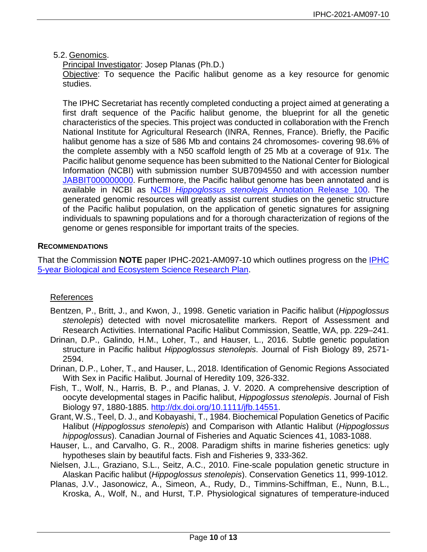<span id="page-9-0"></span>5.2. Genomics.

Principal Investigator: Josep Planas (Ph.D.)

Objective: To sequence the Pacific halibut genome as a key resource for genomic studies.

The IPHC Secretariat has recently completed conducting a project aimed at generating a first draft sequence of the Pacific halibut genome, the blueprint for all the genetic characteristics of the species. This project was conducted in collaboration with the French National Institute for Agricultural Research (INRA, Rennes, France). Briefly, the Pacific halibut genome has a size of 586 Mb and contains 24 chromosomes- covering 98.6% of the complete assembly with a N50 scaffold length of 25 Mb at a coverage of 91x. The Pacific halibut genome sequence has been submitted to the National Center for Biological Information (NCBI) with submission number SUB7094550 and with accession number [JABBIT000000000.](https://www.ncbi.nlm.nih.gov/nuccore/JABBIT000000000) Furthermore, the Pacific halibut genome has been annotated and is available in NCBI as NCBI *Hippoglossus stenolepis* [Annotation Release 100.](https://www.ncbi.nlm.nih.gov/genome/annotation_euk/Hippoglossus_stenolepis/100/) The generated genomic resources will greatly assist current studies on the genetic structure of the Pacific halibut population, on the application of genetic signatures for assigning individuals to spawning populations and for a thorough characterization of regions of the genome or genes responsible for important traits of the species.

# **RECOMMENDATIONS**

That the Commission **NOTE** paper IPHC-2021-AM097-10 which outlines progress on the [IPHC](https://www.iphc.int/uploads/pdf/besrp/2019/iphc-2019-besrp-5yp.pdf)  [5-year Biological and Ecosystem Science Research Plan.](https://www.iphc.int/uploads/pdf/besrp/2019/iphc-2019-besrp-5yp.pdf)

# References

- Bentzen, P., Britt, J., and Kwon, J., 1998. Genetic variation in Pacific halibut (*Hippoglossus stenolepis*) detected with novel microsatellite markers. Report of Assessment and Research Activities. International Pacific Halibut Commission, Seattle, WA, pp. 229–241.
- Drinan, D.P., Galindo, H.M., Loher, T., and Hauser, L., 2016. Subtle genetic population structure in Pacific halibut *Hippoglossus stenolepis*. Journal of Fish Biology 89, 2571- 2594.
- Drinan, D.P., Loher, T., and Hauser, L., 2018. Identification of Genomic Regions Associated With Sex in Pacific Halibut. Journal of Heredity 109, 326-332.
- Fish, T., Wolf, N., Harris, B. P., and Planas, J. V. 2020. A comprehensive description of oocyte developmental stages in Pacific halibut, *Hippoglossus stenolepis*. Journal of Fish Biology 97, 1880-1885. [http://dx.doi.org/10.1111/jfb.14551.](http://dx.doi.org/10.1111/jfb.14551)
- Grant, W.S., Teel, D. J., and Kobayashi, T., 1984. Biochemical Population Genetics of Pacific Halibut (*Hippoglossus stenolepis*) and Comparison with Atlantic Halibut (*Hippoglossus hippoglossus*). Canadian Journal of Fisheries and Aquatic Sciences 41, 1083-1088.
- Hauser, L., and Carvalho, G. R., 2008. Paradigm shifts in marine fisheries genetics: ugly hypotheses slain by beautiful facts. Fish and Fisheries 9, 333-362.
- Nielsen, J.L., Graziano, S.L., Seitz, A.C., 2010. Fine-scale population genetic structure in Alaskan Pacific halibut (*Hippoglossus stenolepis*). Conservation Genetics 11, 999-1012.
- Planas, J.V., Jasonowicz, A., Simeon, A., Rudy, D., Timmins-Schiffman, E., Nunn, B.L., Kroska, A., Wolf, N., and Hurst, T.P. Physiological signatures of temperature-induced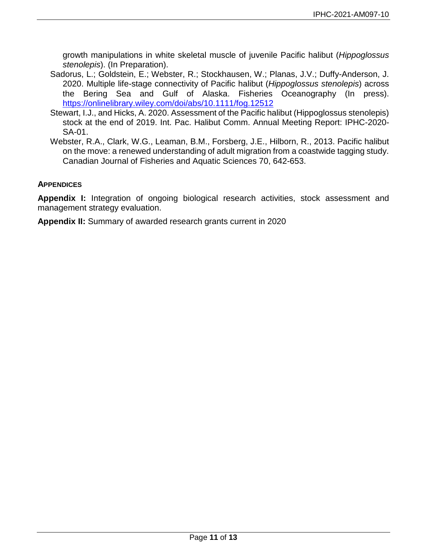growth manipulations in white skeletal muscle of juvenile Pacific halibut (*Hippoglossus stenolepis*). (In Preparation).

- Sadorus, L.; Goldstein, E.; Webster, R.; Stockhausen, W.; Planas, J.V.; Duffy-Anderson, J. 2020. Multiple life-stage connectivity of Pacific halibut (*Hippoglossus stenolepis*) across the Bering Sea and Gulf of Alaska. Fisheries Oceanography (In press). <https://onlinelibrary.wiley.com/doi/abs/10.1111/fog.12512>
- Stewart, I.J., and Hicks, A. 2020. Assessment of the Pacific halibut (Hippoglossus stenolepis) stock at the end of 2019. Int. Pac. Halibut Comm. Annual Meeting Report: IPHC-2020- SA-01.
- Webster, R.A., Clark, W.G., Leaman, B.M., Forsberg, J.E., Hilborn, R., 2013. Pacific halibut on the move: a renewed understanding of adult migration from a coastwide tagging study. Canadian Journal of Fisheries and Aquatic Sciences 70, 642-653.

## **APPENDICES**

**Appendix I:** Integration of ongoing biological research activities, stock assessment and management strategy evaluation.

**[Appendix II:](#page-9-0)** Summary of awarded research grants current in 2020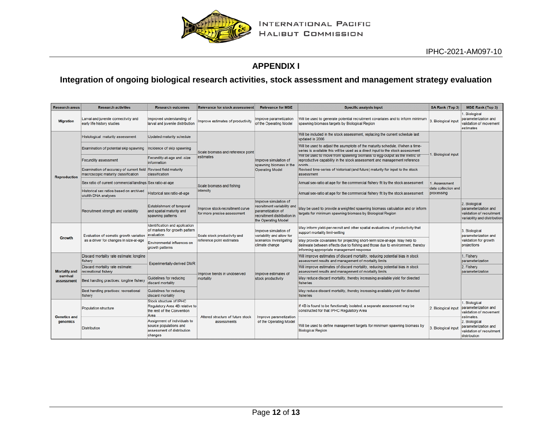

# **APPENDIX I**

# **Integration of ongoing biological research activities, stock assessment and management strategy evaluation**

<span id="page-11-0"></span>

| <b>Research areas</b>                          | <b>Research activities</b>                                                                             | <b>Research outcomes</b>                                                                               | <b>Relevance for stock assessment</b>                          | <b>Relevance for MSE</b>                                                                                                        | <b>Specific analysis input</b>                                                                                                                                                                           | SA Rank (Top 3)                   | <b>MSE Rank (Top 3)</b>                                                                            |
|------------------------------------------------|--------------------------------------------------------------------------------------------------------|--------------------------------------------------------------------------------------------------------|----------------------------------------------------------------|---------------------------------------------------------------------------------------------------------------------------------|----------------------------------------------------------------------------------------------------------------------------------------------------------------------------------------------------------|-----------------------------------|----------------------------------------------------------------------------------------------------|
| <b>Migration</b>                               | Larval and juvenile connectivity and<br>early life history studies                                     | Improved understanding of<br>larval and juvenile distribution                                          | Improve estimates of productivity                              | Improve parametization<br>of the Operating Model                                                                                | Will be used to generate potential recruitment covariates and to inform minimum<br>spawning biomass targets by Biological Region                                                                         | 3. Biological input               | Biological<br>parameterization and<br>validation of movement<br>estimates                          |
| <b>Reproduction</b>                            | Histological maturity assessment                                                                       | Updated maturity schedule                                                                              |                                                                | Improve simulation of<br>spawning biomass in the<br><b>Operating Model</b>                                                      | Will be included in the stock assessment, replacing the current schedule last<br>updated in 2006                                                                                                         | <b>Biological input</b>           |                                                                                                    |
|                                                | Examination of potential skip spawning                                                                 | Incidence of skip spawning                                                                             | Scale biomass and reference point                              |                                                                                                                                 | Will be used to adjust the asymptote of the maturity schedule, if/when a time-<br>series is available this will be used as a direct input to the stock assessment                                        |                                   |                                                                                                    |
|                                                | <b>Fecundity assessment</b>                                                                            | Fecundity-at-age and -size<br>information                                                              | estimates                                                      |                                                                                                                                 | Will be used to move from spawning biomass to egg-output as the metric of<br>reproductive capability in the stock assessment and management reference<br>noints                                          |                                   |                                                                                                    |
|                                                | Examination of accuracy of current field Revised field maturity<br>macroscopic maturity classification | classification                                                                                         |                                                                |                                                                                                                                 | Revised time-series of historical (and future) maturity for input to the stock<br>assessment                                                                                                             |                                   |                                                                                                    |
|                                                | Sex ratio of current commercial landings Sex ratio-at-age                                              |                                                                                                        | Scale biomass and fishing                                      |                                                                                                                                 | Annual sex-ratio at age for the commercial fishery fit by the stock assessment                                                                                                                           | Assessment<br>data collection and |                                                                                                    |
|                                                | Historical sex ratios based on archived<br>otolith DNA analyses                                        | Historical sex ratio-at-age                                                                            | intensity                                                      |                                                                                                                                 | Annual sex-ratio at age for the commercial fishery fit by the stock assessment                                                                                                                           | processing                        |                                                                                                    |
|                                                | Recruitment strength and variability                                                                   | <b>Establishment of temporal</b><br>and spatial maturity and<br>spawning patterns                      | Improve stock-recruitment curve<br>for more precise assessment | Improve simulation of<br>recruitment variability and<br>parametization of<br>recruitment distribution in<br>the Operating Model | May be used to provide a weighted spawning biomass calculation and or inform<br>targets for minimum spawning biomass by Biological Region                                                                |                                   | 2. Biological<br>parameterization and<br>validation of recruitment<br>variability and distribution |
| Growth                                         | Evaluation of somatic growth variation<br>as a driver for changes in size-at-age                       | Identification and application<br>of markers for growth pattern<br>evaluation                          | Scale stock productivity and                                   | Improve simulation of<br>variability and allow for<br>scenarios investigating<br>climate change                                 | May inform yield-per-recruit and other spatial evaluations of productivity that<br>support mortality limit-setting                                                                                       |                                   | 3. Biological<br>parameterization and<br>validation for growth<br>projections                      |
|                                                |                                                                                                        | Environmental influences on<br>growth patterns                                                         | reference point estimates                                      |                                                                                                                                 | May provide covariates for projecting short-term size-at-age. May help to<br>delineate between effects due to fishing and those due to environment, thereby<br>informing appropriate management response |                                   |                                                                                                    |
| <b>Mortality and</b><br>survival<br>assessment | Discard mortality rate estimate: longline<br>fishery                                                   | <b>Experimentally-derived DMR</b>                                                                      |                                                                | Improve estimates of<br>stock productivity                                                                                      | Will improve estimates of discard mortality, reducing potential bias in stock<br>assessment results and management of mortality limits                                                                   |                                   | 1. Fishery<br>parameterization                                                                     |
|                                                | Discard mortality rate estimate:<br>recreational fishery                                               |                                                                                                        | Improve trends in unobserved                                   |                                                                                                                                 | Will improve estimates of discard mortality, reducing potential bias in stock<br>assessment results and management of mortality limits                                                                   |                                   | 2. Fishery<br>parameterization                                                                     |
|                                                | Best handling practices: longline fishery                                                              | Guidelines for reducing<br>discard mortality                                                           | mortality                                                      |                                                                                                                                 | May reduce discard mortality, thereby increasing available yield for directed<br><b>fisheries</b>                                                                                                        |                                   |                                                                                                    |
|                                                | Best handling practices: recreational<br>fishery                                                       | Guidelines for reducing<br>discard mortality                                                           |                                                                |                                                                                                                                 | May reduce discard mortality, thereby increasing available yield for directed<br>fisheries                                                                                                               |                                   |                                                                                                    |
| <b>Genetics and</b><br>genomics                | <b>Population structure</b>                                                                            | Stock structure of IPHC<br>Regulatory Area 4B relative to<br>the rest of the Convention<br><b>Area</b> | Altered structure of future stock                              | Improve parametization<br>of the Operating Model                                                                                | If 4B is found to be functionally isolated, a separate assessment may be<br>constructed for that IPHC Regulatory Area                                                                                    | 2. Biological input               | 1. Biological<br>parameterization and<br>validation of movement<br>estimates.                      |
|                                                | <b>Distribution</b>                                                                                    | Assignment of individuals to<br>source populations and<br>assessment of distribution<br>changes        | assessments                                                    |                                                                                                                                 | Will be used to define management targets for minimum spawning biomass by<br><b>Biological Region</b>                                                                                                    | 3. Biological input               | 2. Biological<br>parameterization and<br>validation of recruitment<br>distribution                 |